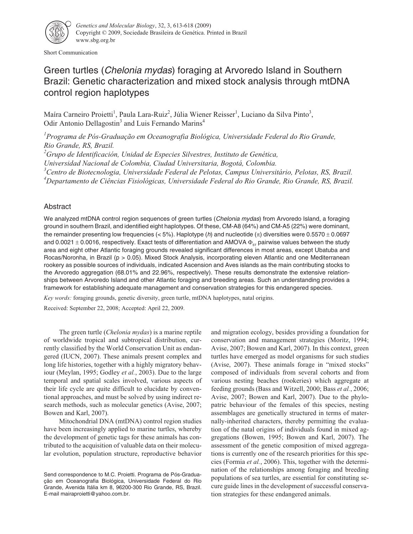

Short Communication

# Green turtles (Chelonia mydas) foraging at Arvoredo Island in Southern Brazil: Genetic characterization and mixed stock analysis through mtDNA control region haplotypes

Maíra Carneiro Proietti<sup>1</sup>, Paula Lara-Ruiz<sup>2</sup>, Júlia Wiener Reisser<sup>1</sup>, Luciano da Silva Pinto<sup>3</sup>, Odir Antonio Dellagostin<sup>3</sup> and Luis Fernando Marins<sup>4</sup>

*1 Programa de Pós-Graduação em Oceanografia Biológica, Universidade Federal do Rio Grande, Rio Grande, RS, Brazil.*

*2 Grupo de Identificación, Unidad de Especies Silvestres, Instituto de Genética,*

*Universidad Nacional de Colombia, Ciudad Universitaria, Bogotá, Colombia.*

*3 Centro de Biotecnologia, Universidade Federal de Pelotas, Campus Universitário, Pelotas, RS, Brazil.*

*4 Departamento de Ciências Fisiológicas, Universidade Federal do Rio Grande, Rio Grande, RS, Brazil.*

## Abstract

We analyzed mtDNA control region sequences of green turtles (Chelonia mydas) from Arvoredo Island, a foraging ground in southern Brazil, and identified eight haplotypes. Of these, CM-A8 (64%) and CM-A5 (22%) were dominant, the remainder presenting low frequencies (< 5%). Haplotype (h) and nucleotide ( $\pi$ ) diversities were 0.5570  $\pm$  0.0697 and 0.0021  $\pm$  0.0016, respectively. Exact tests of differentiation and AMOVA  $\Phi_{sr}$  pairwise values between the study area and eight other Atlantic foraging grounds revealed significant differences in most areas, except Ubatuba and Rocas/Noronha, in Brazil (p > 0.05). Mixed Stock Analysis, incorporating eleven Atlantic and one Mediterranean rookery as possible sources of individuals, indicated Ascension and Aves islands as the main contributing stocks to the Arvoredo aggregation (68.01% and 22.96%, respectively). These results demonstrate the extensive relationships between Arvoredo Island and other Atlantic foraging and breeding areas. Such an understanding provides a framework for establishing adequate management and conservation strategies for this endangered species.

*Key words:* foraging grounds, genetic diversity, green turtle, mtDNA haplotypes, natal origins.

Received: September 22, 2008; Accepted: April 22, 2009.

The green turtle (*Chelonia mydas*) is a marine reptile of worldwide tropical and subtropical distribution, currently classified by the World Conservation Unit as endangered (IUCN, 2007). These animals present complex and long life histories, together with a highly migratory behaviour (Meylan, 1995; Godley *et al.*, 2003). Due to the large temporal and spatial scales involved, various aspects of their life cycle are quite difficult to elucidate by conventional approaches, and must be solved by using indirect research methods, such as molecular genetics (Avise, 2007; Bowen and Karl, 2007).

Mitochondrial DNA (mtDNA) control region studies have been increasingly applied to marine turtles, whereby the development of genetic tags for these animals has contributed to the acquisition of valuable data on their molecular evolution, population structure, reproductive behavior and migration ecology, besides providing a foundation for conservation and management strategies (Moritz, 1994; Avise, 2007; Bowen and Karl, 2007). In this context, green turtles have emerged as model organisms for such studies (Avise, 2007). These animals forage in "mixed stocks" composed of individuals from several cohorts and from various nesting beaches (rookeries) which aggregate at feeding grounds (Bass and Witzell, 2000; Bass *et al.*, 2006; Avise, 2007; Bowen and Karl, 2007). Due to the phylopatric behaviour of the females of this species, nesting assemblages are genetically structured in terms of maternally-inherited characters, thereby permitting the evaluation of the natal origins of individuals found in mixed aggregations (Bowen, 1995; Bowen and Karl, 2007). The assessment of the genetic composition of mixed aggregations is currently one of the research priorities for this species (Formia *et al.*, 2006). This, together with the determination of the relationships among foraging and breeding populations of sea turtles, are essential for constituting secure guide lines in the development of successful conservation strategies for these endangered animals.

Send correspondence to M.C. Proietti. Programa de Pós-Graduação em Oceanografia Biológica, Universidade Federal do Rio Grande, Avenida Itália km 8, 96200-300 Rio Grande, RS, Brazil. E-mail mairaproietti@yahoo.com.br.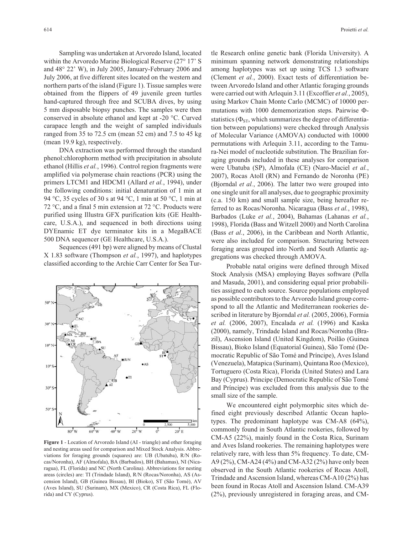Sampling was undertaken at Arvoredo Island, located within the Arvoredo Marine Biological Reserve (27° 17' S and 48° 22' W), in July 2005, January-February 2006 and July 2006, at five different sites located on the western and northern parts of the island (Figure 1). Tissue samples were obtained from the flippers of 49 juvenile green turtles hand-captured through free and SCUBA dives, by using 5 mm disposable biopsy punches. The samples were then conserved in absolute ethanol and kept at -20 °C. Curved carapace length and the weight of sampled individuals ranged from 35 to 72.5 cm (mean 52 cm) and 7.5 to 45 kg (mean 19.9 kg), respectively.

DNA extraction was performed through the standard phenol:chlorophorm method with precipitation in absolute ethanol (Hillis *et al.*, 1996). Control region fragments were amplified via polymerase chain reactions (PCR) using the primers LTCM1 and HDCM1 (Allard *et al.*, 1994), under the following conditions: initial denaturation of 1 min at 94 °C, 35 cycles of 30 s at 94 °C, 1 min at 50 °C, 1 min at 72 °C, and a final 5 min extension at 72 °C. Products were purified using Illustra GFX purification kits (GE Healthcare, U.S.A.), and sequenced in both directions using DYEnamic ET dye terminator kits in a MegaBACE 500 DNA sequencer (GE Healthcare, U.S.A.).

Sequences (491 bp) were aligned by means of Clustal X 1.83 software (Thompson *et al.*, 1997), and haplotypes classified according to the Archie Carr Center for Sea Tur-



**Figure 1** - Location of Arvoredo Island (AI - triangle) and other foraging and nesting areas used for comparison and Mixed Stock Analysis. Abbreviations for foraging grounds (squares) are: UB (Ubatuba), R/N (Rocas/Noronha), AF (Almofala), BA (Barbados), BH (Bahamas), NI (Nicaragua), FL (Florida) and NC (North Carolina). Abbreviations for nesting areas (circles) are: TI (Trindade Island), R/N (Rocas/Noronha), AS (Ascension Island), GB (Guinea Bissau), BI (Bioko), ST (São Tomé), AV (Aves Island), SU (Surinam), MX (Mexico), CR (Costa Rica), FL (Florida) and CY (Cyprus).

tle Research online genetic bank (Florida University). A minimum spanning network demonstrating relationships among haplotypes was set up using TCS 1.3 software (Clement *et al.*, 2000). Exact tests of differentiation between Arvoredo Island and other Atlantic foraging grounds were carried out with Arlequin 3.11 (Excoffier *et al.*, 2005), using Markov Chain Monte Carlo (MCMC) of 10000 permutations with  $1000$  dememorization steps. Pairwise  $\Phi$ statistics ( $\Phi_{ST}$ , which summarizes the degree of differentiation between populations) were checked through Analysis of Molecular Variance (AMOVA) conducted with 10000 permutations with Arlequin 3.11, according to the Tamura-Nei model of nucleotide substitution. The Brazilian foraging grounds included in these analyses for comparison were Ubatuba (SP), Almofala (CE) (Naro-Maciel *et al.*, 2007), Rocas Atoll (RN) and Fernando de Noronha (PE) (Bjorndal *et al.*, 2006). The latter two were grouped into one single unit for all analyses, due to geographic proximity (c.a. 150 km) and small sample size, being hereafter referred to as Rocas/Noronha. Nicaragua (Bass *et al.*, 1998), Barbados (Luke *et al.*, 2004), Bahamas (Lahanas *et al.*, 1998), Florida (Bass and Witzell 2000) and North Carolina (Bass *et al.*, 2006), in the Caribbean and North Atlantic, were also included for comparison. Structuring between foraging areas grouped into North and South Atlantic aggregations was checked through AMOVA.

Probable natal origins were defined through Mixed Stock Analysis (MSA) employing Bayes software (Pella and Masuda, 2001), and considering equal prior probabilities assigned to each source. Source populations employed as possible contributors to the Arvoredo Island group correspond to all the Atlantic and Mediterranean rookeries described in literature by Bjorndal *et al.* (2005, 2006), Formia *et al.* (2006, 2007), Encalada *et al.* (1996) and Kaska (2000), namely, Trindade Island and Rocas/Noronha (Brazil), Ascension Island (United Kingdom), Poilão (Guinea Bissau), Bioko Island (Equatorial Guinea), São Tomé (Democratic Republic of São Tomé and Príncipe), Aves Island (Venezuela), Matapica (Surinam), Quintana Roo (Mexico), Tortuguero (Costa Rica), Florida (United States) and Lara Bay (Cyprus). Principe (Democratic Republic of São Tomé and Príncipe) was excluded from this analysis due to the small size of the sample.

We encountered eight polymorphic sites which defined eight previously described Atlantic Ocean haplotypes. The predominant haplotype was CM-A8 (64%), commonly found in South Atlantic rookeries, followed by CM-A5 (22%), mainly found in the Costa Rica, Surinam and Aves Island rookeries. The remaining haplotypes were relatively rare, with less than 5% frequency. To date, CM-A9 (2%), CM-A24 (4%) and CM-A32 (2%) have only been observed in the South Atlantic rookeries of Rocas Atoll, Trindade and Ascension Island, whereas CM-A10 (2%) has been found in Rocas Atoll and Ascension Island. CM-A39 (2%), previously unregistered in foraging areas, and CM-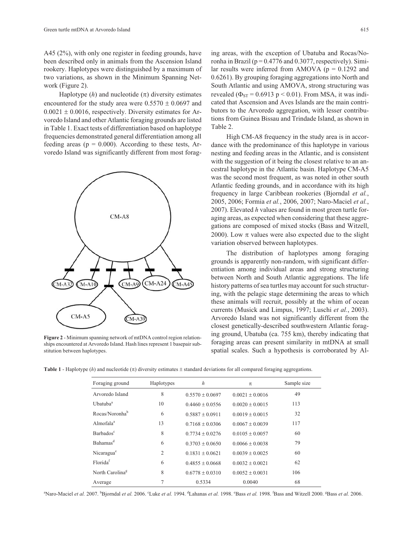A45 (2%), with only one register in feeding grounds, have been described only in animals from the Ascension Island rookery. Haplotypes were distinguished by a maximum of two variations, as shown in the Minimum Spanning Network (Figure 2).

Haplotype  $(h)$  and nucleotide  $(\pi)$  diversity estimates encountered for the study area were  $0.5570 \pm 0.0697$  and  $0.0021 \pm 0.0016$ , respectively. Diversity estimates for Arvoredo Island and other Atlantic foraging grounds are listed in Table 1. Exact tests of differentiation based on haplotype frequencies demonstrated general differentiation among all feeding areas ( $p = 0.000$ ). According to these tests, Arvoredo Island was significantly different from most forag-



**Figure 2** - Minimum spanning network of mtDNA control region relationships encountered at Arvoredo Island. Hash lines represent 1 basepair substitution between haplotypes.

ing areas, with the exception of Ubatuba and Rocas/Noronha in Brazil ( $p = 0.4776$  and 0.3077, respectively). Similar results were inferred from AMOVA ( $p = 0.1292$  and 0.6261). By grouping foraging aggregations into North and South Atlantic and using AMOVA, strong structuring was revealed ( $\Phi_{ST}$  = 0.6913 p < 0.01). From MSA, it was indicated that Ascension and Aves Islands are the main contributors to the Arvoredo aggregation, with lesser contributions from Guinea Bissau and Trindade Island, as shown in Table 2.

High CM-A8 frequency in the study area is in accordance with the predominance of this haplotype in various nesting and feeding areas in the Atlantic, and is consistent with the suggestion of it being the closest relative to an ancestral haplotype in the Atlantic basin. Haplotype CM-A5 was the second most frequent, as was noted in other south Atlantic feeding grounds, and in accordance with its high frequency in large Caribbean rookeries (Bjorndal *et al.*, 2005, 2006; Formia *et al.*, 2006, 2007; Naro-Maciel *et al.*, 2007). Elevated *h* values are found in most green turtle foraging areas, as expected when considering that these aggregations are composed of mixed stocks (Bass and Witzell, 2000). Low  $\pi$  values were also expected due to the slight variation observed between haplotypes.

The distribution of haplotypes among foraging grounds is apparently non-random, with significant differentiation among individual areas and strong structuring between North and South Atlantic aggregations. The life history patterns of sea turtles may account for such structuring, with the pelagic stage determining the areas to which these animals will recruit, possibly at the whim of ocean currents (Musick and Limpus, 1997; Luschi *et al.*, 2003). Arvoredo Island was not significantly different from the closest genetically-described southwestern Atlantic foraging ground, Ubatuba (ca. 755 km), thereby indicating that foraging areas can present similarity in mtDNA at small spatial scales. Such a hypothesis is corroborated by Al-

**Table 1** - Haplotype (*h*) and nucleotide  $(\pi)$  diversity estimates  $\pm$  standard deviations for all compared foraging aggregations.

| Foraging ground             | Haplotypes     | $\boldsymbol{h}$    | $\pi$               | Sample size |  |
|-----------------------------|----------------|---------------------|---------------------|-------------|--|
| Arvoredo Island             | 8              | $0.5570 + 0.0697$   | $0.0021 \pm 0.0016$ | 49          |  |
| Ubatuba <sup>a</sup>        | 10             | $0.4460 + 0.0556$   | $0.0020 \pm 0.0015$ | 113         |  |
| Rocas/Noronha <sup>b</sup>  | 6              | $0.5887 + 0.0911$   | $0.0019 \pm 0.0015$ | 32          |  |
| Almofala <sup>a</sup>       | 13             | $0.7168 + 0.0306$   | $0.0067 \pm 0.0039$ | 117         |  |
| Barbados <sup>c</sup>       | 8              | $0.7734 \pm 0.0276$ | $0.0105 + 0.0057$   | 60          |  |
| Bahamas <sup>d</sup>        | 6              | $0.3703 + 0.0650$   | $0.0066 \pm 0.0038$ | 79          |  |
| Nicaragua <sup>e</sup>      | $\overline{2}$ | $0.1831 + 0.0621$   | $0.0039 + 0.0025$   | 60          |  |
| Florida <sup>f</sup>        | 6              | $0.4855 + 0.0668$   | $0.0032 + 0.0021$   | 62          |  |
| North Carolina <sup>g</sup> | 8              | $0.6778 + 0.0310$   | $0.0052 \pm 0.0031$ | 106         |  |
| Average                     |                | 0.5334              | 0.0040              | 68          |  |

<sup>a</sup>Naro-Maciel *et al.* 2007. <sup>b</sup>Bjorndal *et al.* 2006. °Luke *et al.* 1994. <sup>4</sup>Lahanas *et al.* 1998. °Bass *et al.* 1998. <sup>6</sup>Bass and Witzell 2000. <sup>g</sup>Bass *et al.* 2006.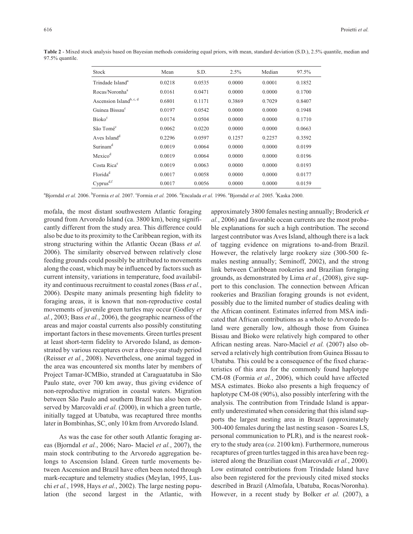| Stock                               | Mean   | S.D.   | 2.5%   | Median | 97.5%  |  |
|-------------------------------------|--------|--------|--------|--------|--------|--|
| Trindade Island <sup>a</sup>        | 0.0218 | 0.0535 | 0.0000 | 0.0001 | 0.1852 |  |
| Rocas/Noronha <sup>a</sup>          | 0.0161 | 0.0471 | 0.0000 | 0.0000 | 0.1700 |  |
| Ascension Island <sup>b, c, d</sup> | 0.6801 | 0.1171 | 0.3869 | 0.7029 | 0.8407 |  |
| Guinea Bissau <sup>c</sup>          | 0.0197 | 0.0542 | 0.0000 | 0.0000 | 0.1948 |  |
| <b>Bioko</b> <sup>c</sup>           | 0.0174 | 0.0504 | 0.0000 | 0.0000 | 0.1710 |  |
| São Tomé <sup>c</sup>               | 0.0062 | 0.0220 | 0.0000 | 0.0000 | 0.0663 |  |
| Aves Island <sup>d</sup>            | 0.2296 | 0.0597 | 0.1257 | 0.2257 | 0.3592 |  |
| Surinam <sup>d</sup>                | 0.0019 | 0.0064 | 0.0000 | 0.0000 | 0.0199 |  |
| Mexico <sup>d</sup>                 | 0.0019 | 0.0064 | 0.0000 | 0.0000 | 0.0196 |  |
| Costa Rica <sup>e</sup>             | 0.0019 | 0.0063 | 0.0000 | 0.0000 | 0.0193 |  |
| Florida <sup>d</sup>                | 0.0017 | 0.0058 | 0.0000 | 0.0000 | 0.0177 |  |
| $Cyprus^{d,f}$                      | 0.0017 | 0.0056 | 0.0000 | 0.0000 | 0.0159 |  |

**Table 2** - Mixed stock analysis based on Bayesian methods considering equal priors, with mean, standard deviation (S.D.), 2.5% quantile, median and 97.5% quantile.

<sup>a</sup>Bjorndal *et al.* 2006. <sup>b</sup>Formia *et al.* 2007. <sup>c</sup>Formia *et al.* 2006. <sup>d</sup>Encalada *et al.* 1996. <sup>c</sup>Bjorndal *et al.* 2005. <sup>f</sup>Kaska 2000.

mofala, the most distant southwestern Atlantic foraging ground from Arvoredo Island (ca. 3800 km), being significantly different from the study area. This difference could also be due to its proximity to the Caribbean region, with its strong structuring within the Atlantic Ocean (Bass *et al.* 2006). The similarity observed between relatively close feeding grounds could possibly be attributed to movements along the coast, which may be influenced by factors such as current intensity, variations in temperature, food availability and continuous recruitment to coastal zones (Bass *et al.*, 2006). Despite many animals presenting high fidelity to foraging areas, it is known that non-reproductive costal movements of juvenile green turtles may occur (Godley *et al.*, 2003; Bass *et al.*, 2006), the geographic nearness of the areas and major coastal currents also possibly constituting important factors in these movements. Green turtles present at least short-term fidelity to Arvoredo Island, as demonstrated by various recaptures over a three-year study period (Reisser *et al.*, 2008). Nevertheless, one animal tagged in the area was encountered six months later by members of Project Tamar-ICMBio, stranded at Caraguatatuba in São Paulo state, over 700 km away, thus giving evidence of non-reproductive migration in coastal waters. Migration between São Paulo and southern Brazil has also been observed by Marcovaldi *et al.* (2000), in which a green turtle, initially tagged at Ubatuba, was recaptured three months later in Bombinhas, SC, only 10 km from Arvoredo Island.

As was the case for other south Atlantic foraging areas (Bjorndal *et al.*, 2006; Naro- Maciel *et al.*, 2007), the main stock contributing to the Arvoredo aggregation belongs to Ascension Island. Green turtle movements between Ascension and Brazil have often been noted through mark-recapture and telemetry studies (Meylan, 1995, Luschi *et al.*, 1998, Hays *et al.*, 2002). The large nesting population (the second largest in the Atlantic, with

approximately 3800 females nesting annually; Broderick *et al.*, 2006) and favorable ocean currents are the most probable explanations for such a high contribution. The second largest contributor was Aves Island, although there is a lack of tagging evidence on migrations to-and-from Brazil. However, the relatively large rookery size (300-500 females nesting annually; Seminoff, 2002), and the strong link between Caribbean rookeries and Brazilian foraging grounds, as demonstrated by Lima *et al.*, (2008), give support to this conclusion. The connection between African rookeries and Brazilian foraging grounds is not evident, possibly due to the limited number of studies dealing with the African continent. Estimates inferred from MSA indicated that African contributions as a whole to Arvoredo Island were generally low, although those from Guinea Bissau and Bioko were relatively high compared to other African nesting areas. Naro-Maciel *et al.* (2007) also observed a relatively high contribution from Guinea Bissau to Ubatuba. This could be a consequence of the fixed characteristics of this area for the commonly found haplotype CM-08 (Formia *et al.*, 2006), which could have affected MSA estimates. Bioko also presents a high frequency of haplotype CM-08 (90%), also possibly interfering with the analysis. The contribution from Trindade Island is apparently underestimated when considering that this island supports the largest nesting area in Brazil (approximately 300-400 females during the last nesting season - Soares LS, personal communication to PLR), and is the nearest rookery to the study area (*ca*. 2100 km). Furthermore, numerous recaptures of green turtles tagged in this area have been registered along the Brazilian coast (Marcovaldi *et al.*, 2000). Low estimated contributions from Trindade Island have also been registered for the previously cited mixed stocks described in Brazil (Almofala, Ubatuba, Rocas/Noronha). However, in a recent study by Bolker *et al.* (2007), a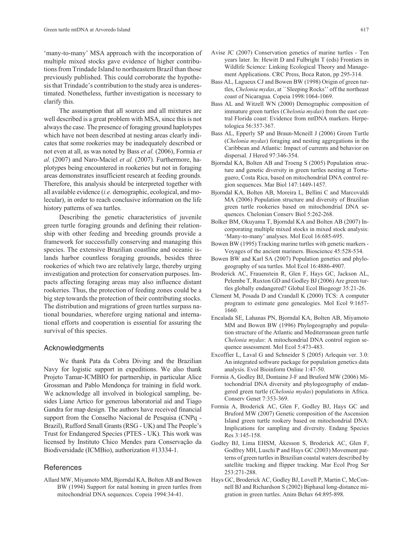'many-to-many' MSA approach with the incorporation of multiple mixed stocks gave evidence of higher contributions from Trindade Island to northeastern Brazil than those previously published. This could corroborate the hypothesis that Trindade's contribution to the study area is underestimated. Nonetheless, further investigation is necessary to clarify this.

The assumption that all sources and all mixtures are well described is a great problem with MSA, since this is not always the case. The presence of foraging ground haplotypes which have not been described at nesting areas clearly indicates that some rookeries may be inadequately described or not even at all, as was noted by Bass *et al.* (2006), Formia *et al.* (2007) and Naro-Maciel *et al.* (2007). Furthermore, haplotypes being encountered in rookeries but not in foraging areas demonstrates insufficient research at feeding grounds. Therefore, this analysis should be interpreted together with all available evidence (*i.e.* demographic, ecological, and molecular), in order to reach conclusive information on the life history patterns of sea turtles.

Describing the genetic characteristics of juvenile green turtle foraging grounds and defining their relationship with other feeding and breeding grounds provide a framework for successfully conserving and managing this species. The extensive Brazilian coastline and oceanic islands harbor countless foraging grounds, besides three rookeries of which two are relatively large, thereby urging investigation and protection for conservation purposes. Impacts affecting foraging areas may also influence distant rookeries. Thus, the protection of feeding zones could be a big step towards the protection of their contributing stocks. The distribution and migrations of green turtles surpass national boundaries, wherefore urging national and international efforts and cooperation is essential for assuring the survival of this species.

#### Acknowledgments

We thank Pata da Cobra Diving and the Brazilian Navy for logistic support in expeditions. We also thank Projeto Tamar-ICMBIO for partnership, in particular Alice Grossman and Pablo Mendonça for training in field work. We acknowledge all involved in biological sampling, besides Liane Artico for generous laboratorial aid and Tiago Gandra for map design. The authors have received financial support from the Conselho Nacional de Pesquisa (CNPq - Brazil), Rufford Small Grants (RSG - UK) and The People's Trust for Endangered Species (PTES - UK). This work was licensed by Instituto Chico Mendes para Conservação da Biodiversidade (ICMBio), authorization #13334-1.

### **References**

Allard MW, Miyamoto MM, Bjorndal KA, Bolten AB and Bowen BW (1994) Support for natal homing in green turtles from mitochondrial DNA sequences. Copeia 1994:34-41.

- Avise JC (2007) Conservation genetics of marine turtles Ten years later. In: Hewitt D and Fulbright T (eds) Frontiers in Wildlife Science: Linking Ecological Theory and Management Applications. CRC Press, Boca Raton, pp 295-314.
- Bass AL, Lagueux CJ and Bowen BW (1998) Origin of green turtles, *Chelonia mydas*, at ``Sleeping Rocks'' off the northeast coast of Nicaragua. Copeia 1998:1064-1069.
- Bass AL and Witzell WN (2000) Demographic composition of immature green turtles (*Chelonia mydas*) from the east central Florida coast: Evidence from mtDNA markers. Herpetologica 56:357-367.
- Bass AL, Epperly SP and Braun-Mcneill J (2006) Green Turtle (*Chelonia mydas*) foraging and nesting aggregations in the Caribbean and Atlantic: Impact of currents and behavior on dispersal. J Hered 97:346-354.
- Bjorndal KA, Bolten AB and Troeng S (2005) Population structure and genetic diversity in green turtles nesting at Tortuguero, Costa Rica, based on mitochondrial DNA control region sequences. Mar Biol 147:1449-1457.
- Bjorndal KA, Bolten AB, Moreira L, Bellini C and Marcovaldi MA (2006) Population structure and diversity of Brazilian green turtle rookeries based on mitochondrial DNA sequences. Chelonian Conserv Biol 5:262-268.
- Bolker BM, Okuyama T, Bjorndal KA and Bolten AB (2007) Incorporating multiple mixed stocks in mixed stock analysis: 'Many-to-many' analyses. Mol Ecol 16:685-695.
- Bowen BW (1995) Tracking marine turtles with genetic markers Voyages of the ancient mariners. Bioscience 45:528-534.
- Bowen BW and Karl SA (2007) Population genetics and phylogeography of sea turtles. Mol Ecol 16:4886-4907.
- Broderick AC, Frauenstein R, Glen F, Hays GC, Jackson AL, Pelembe T, Ruxton GD and Godley BJ (2006) Are green turtles globally endangered? Global Ecol Biogeogr 35:21-26.
- Clement M, Posada D and Crandall K (2000) TCS: A computer program to estimate gene genealogies. Mol Ecol 9:1657- 1660.
- Encalada SE, Lahanas PN, Bjorndal KA, Bolten AB, Miyamoto MM and Bowen BW (1996) Phylogeography and population structure of the Atlantic and Mediterranean green turtle *Chelonia mydas*: A mitochondrial DNA control region sequence assessment. Mol Ecol 5:473-483.
- Excoffier L, Laval G and Schneider S (2005) Arlequin ver. 3.0: An integrated software package for population genetics data analysis. Evol Bioinform Online 1:47-50.
- Formia A, Godley BJ, Dontaine J-F and Bruford MW (2006) Mitochondrial DNA diversity and phylogeography of endangered green turtle (*Chelonia mydas*) populations in Africa. Conserv Genet 7:353-369.
- Formia A, Broderick AC, Glen F, Godley BJ, Hays GC and Bruford MW (2007) Genetic composition of the Ascension Island green turtle rookery based on mitochondrial DNA: Implications for sampling and diversity. Endang Species Res 3:145-158.
- Godley BJ, Lima EHSM, Åkesson S, Broderick AC, Glen F, Godfrey MH, Luschi P and Hays GC (2003) Movement patterns of green turtles in Brazilian coastal waters described by satellite tracking and flipper tracking. Mar Ecol Prog Ser 253:271-288.
- Hays GC, Broderick AC, Godley BJ, Lovell P, Martin C, McConnell BJ and Richardson S (2002) Biphasal long-distance migration in green turtles. Anim Behav 64:895-898.